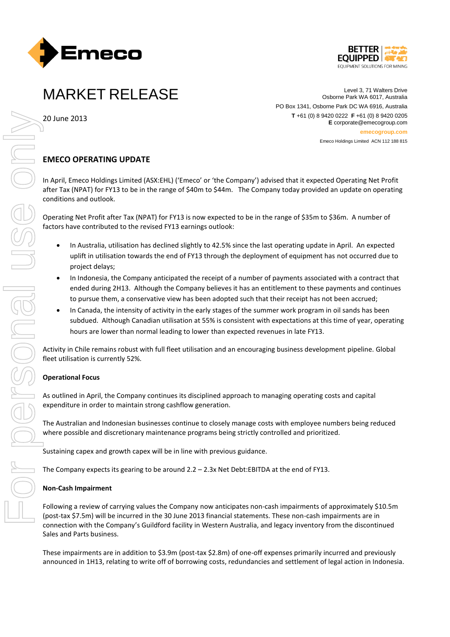



# MARKET RELEASE

Level 3, 71 Walters Drive Osborne Park WA 6017, Australia PO Box 1341, Osborne Park DC WA 6916, Australia **T** +61 (0) 8 9420 0222 **F** +61 (0) 8 9420 0205 **E** corporate@emecogroup.com **emecogroup.com**

Emeco Holdings Limited ACN 112 188 815

# 20 June 2013

# **EMECO OPERATING UPDATE**

In April, Emeco Holdings Limited (ASX:EHL) ('Emeco' or 'the Company') advised that it expected Operating Net Profit after Tax (NPAT) for FY13 to be in the range of \$40m to \$44m. The Company today provided an update on operating conditions and outlook.

Operating Net Profit after Tax (NPAT) for FY13 is now expected to be in the range of \$35m to \$36m. A number of factors have contributed to the revised FY13 earnings outlook:

- In Australia, utilisation has declined slightly to 42.5% since the last operating update in April. An expected uplift in utilisation towards the end of FY13 through the deployment of equipment has not occurred due to project delays;
- In Indonesia, the Company anticipated the receipt of a number of payments associated with a contract that ended during 2H13. Although the Company believes it has an entitlement to these payments and continues to pursue them, a conservative view has been adopted such that their receipt has not been accrued;
- In Canada, the intensity of activity in the early stages of the summer work program in oil sands has been subdued. Although Canadian utilisation at 55% is consistent with expectations at this time of year, operating hours are lower than normal leading to lower than expected revenues in late FY13.

Activity in Chile remains robust with full fleet utilisation and an encouraging business development pipeline. Global fleet utilisation is currently 52%.

## **Operational Focus**

As outlined in April, the Company continues its disciplined approach to managing operating costs and capital expenditure in order to maintain strong cashflow generation.

The Australian and Indonesian businesses continue to closely manage costs with employee numbers being reduced where possible and discretionary maintenance programs being strictly controlled and prioritized.

Sustaining capex and growth capex will be in line with previous guidance.

The Company expects its gearing to be around  $2.2 - 2.3x$  Net Debt:EBITDA at the end of FY13.

## **Non-Cash Impairment**

Following a review of carrying values the Company now anticipates non-cash impairments of approximately \$10.5m (post-tax \$7.5m) will be incurred in the 30 June 2013 financial statements. These non-cash impairments are in connection with the Company's Guildford facility in Western Australia, and legacy inventory from the discontinued Sales and Parts business.

These impairments are in addition to \$3.9m (post-tax \$2.8m) of one-off expenses primarily incurred and previously